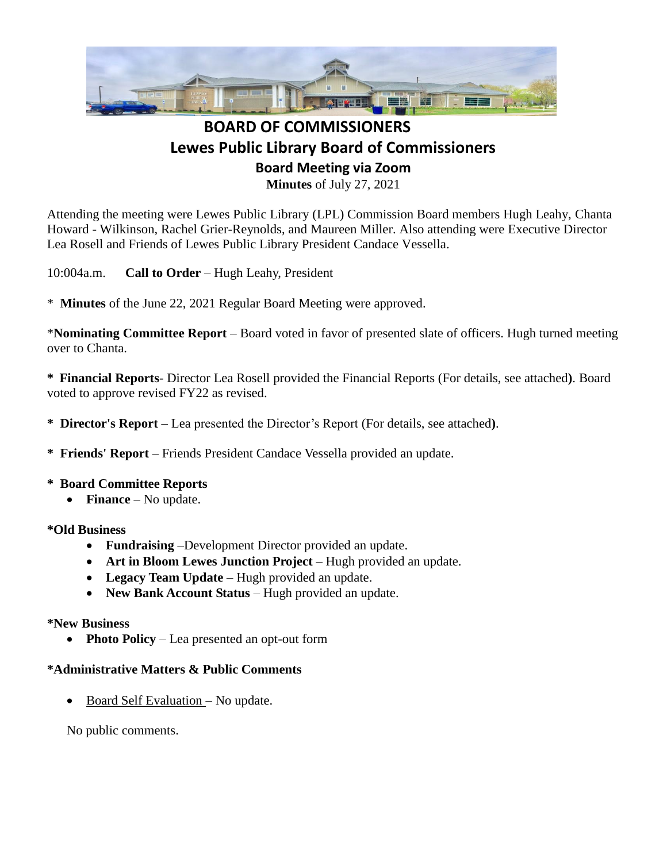

## **BOARD OF COMMISSIONERS Lewes Public Library Board of Commissioners Board Meeting via Zoom Minutes** of July 27, 2021

Attending the meeting were Lewes Public Library (LPL) Commission Board members Hugh Leahy, Chanta Howard - Wilkinson, Rachel Grier-Reynolds, and Maureen Miller. Also attending were Executive Director Lea Rosell and Friends of Lewes Public Library President Candace Vessella.

10:004a.m. **Call to Order** – Hugh Leahy, President

\* **Minutes** of the June 22, 2021 Regular Board Meeting were approved.

\***Nominating Committee Report** – Board voted in favor of presented slate of officers. Hugh turned meeting over to Chanta.

**\* Financial Reports**- Director Lea Rosell provided the Financial Reports (For details, see attached**)**. Board voted to approve revised FY22 as revised.

**\* Director's Report** – Lea presented the Director's Report (For details, see attached**)**.

**\* Friends' Report** – Friends President Candace Vessella provided an update.

- **\* Board Committee Reports**
	- **Finance** No update.

**\*Old Business**

- **Fundraising** –Development Director provided an update.
- Art in Bloom Lewes Junction Project Hugh provided an update.
- **Legacy Team Update** Hugh provided an update.
- **New Bank Account Status** Hugh provided an update.

## **\*New Business**

• **Photo Policy** – Lea presented an opt-out form

## **\*Administrative Matters & Public Comments**

• Board Self Evaluation – No update.

No public comments.